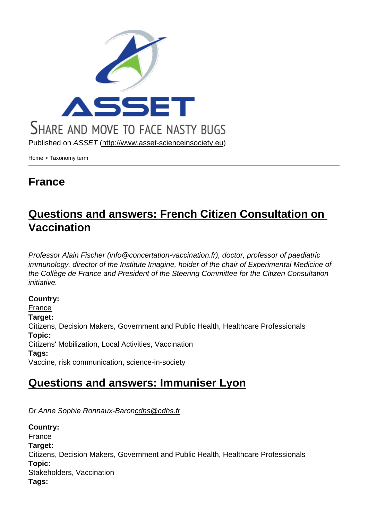Published on ASSET (http://www.asset-scienceinsociety.eu)

Home > Taxonomy term

#### [Fra](http://www.asset-scienceinsociety.eu/)nce

## Questions and answers: French Citizen Consultation on Vaccination

[Professor Alain Fisc](http://www.asset-scienceinsociety.eu/outputs/best-practice-platform/questions-and-answers-french-citizen-consultation-vaccination)her (info@concertation-vaccination.fr), doctor, professor of paediatric immunology, director of the Institute Imagine, holder of the chair of Experimental Medicine of the Collège de France and President of the Steering Committee for the Citizen Consultation initiative.

Country: France Target: Citizens, Decision Makers, Government and Public Health, Healthcare Professionals [Topic:](http://www.asset-scienceinsociety.eu/database-country/france)  Citizens' Mobilization, Local Activities, Vaccination [Tags:](http://www.asset-scienceinsociety.eu/target/citizens)  Vaccine, [risk communicati](http://www.asset-scienceinsociety.eu/target/decision-makers)[on, science-in-society](http://www.asset-scienceinsociety.eu/target/government-and-public-health)

#### [Questions and](http://www.asset-scienceinsociety.eu/topic/citizens-mobilization) [answers:](http://www.asset-scienceinsociety.eu/topic/local-activities) I[mmunis](http://www.asset-scienceinsociety.eu/topic/vaccination)er Lyon

[Dr Anne Sophie Ronnaux-Baroncdhs@cdhs.fr](http://www.asset-scienceinsociety.eu/outputs/best-practice-platform/questions-and-answers-immuniser-lyon)

Country: France Target: Citizens, Decision Makers, Government and Public Health, Healthcare Professionals [Topic:](http://www.asset-scienceinsociety.eu/database-country/france)  Stakeholders, Vaccination [Tags:](http://www.asset-scienceinsociety.eu/target/citizens)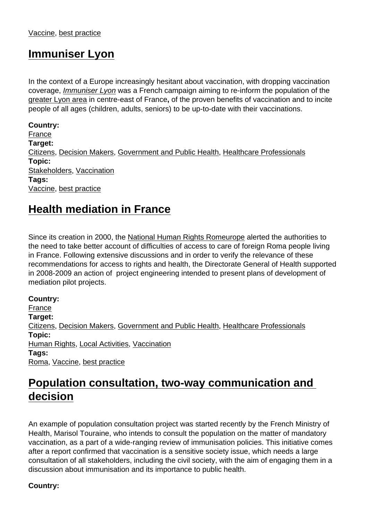#### Immuniser Lyon

[In the context of a Europe](http://www.asset-scienceinsociety.eu/outputs/best-practice-platform/immuniser-lyon) increasingly hesitant about vaccination, with dropping vaccination coverage, Immuniser Lyon was a French campaign aiming to re-inform the population of the greater Lyon area in centre-east of France, of the proven benefits of vaccination and to incite people of all ages (children, adults, seniors) to be up-to-date with their vaccinations.

[Country:](https://en.wikipedia.org/wiki/Metropolitan_Lyon)  France Target: Citizens, Decision Makers, Government and Public Health, Healthcare Professionals [Topic:](http://www.asset-scienceinsociety.eu/database-country/france)  Stakeholders, Vaccination [Tags:](http://www.asset-scienceinsociety.eu/target/citizens)  Vaccine, [best practice](http://www.asset-scienceinsociety.eu/target/decision-makers)

#### [Health m](http://www.asset-scienceinsociety.eu/topic/stakeholders)[e](http://www.asset-scienceinsociety.eu/tags/best-practice)[diation](http://www.asset-scienceinsociety.eu/topic/vaccination) in France

[Since its creation in 2000, the National Hum](http://www.asset-scienceinsociety.eu/outputs/best-practice-platform/health-mediation-france)an Rights Romeurope alerted the authorities to the need to take better account of difficulties of access to care of foreign Roma people living in France. Following extensive discussions and in order to verify the relevance of these recommendations for access t[o rights and health, the Directorate G](http://www.romeurope.org/spip.php?rubrique55)eneral of Health supported in 2008-2009 an action of project engineering intended to present plans of development of mediation pilot projects.

Country: France Target: Citizens, Decision Makers, Government and Public Health, Healthcare Professionals [Topic:](http://www.asset-scienceinsociety.eu/database-country/france)  Human Rights, Local Activities, Vaccination [Tags:](http://www.asset-scienceinsociety.eu/target/citizens)  Roma, V[accine, best pract](http://www.asset-scienceinsociety.eu/target/decision-makers)i[ce](http://www.asset-scienceinsociety.eu/target/government-and-public-health)

### [Populatio](http://www.asset-scienceinsociety.eu/topic/human-rights)[n consultat](http://www.asset-scienceinsociety.eu/topic/local-activities)i[on, two-w](http://www.asset-scienceinsociety.eu/topic/vaccination)ay communication and [deci](http://www.asset-scienceinsociety.eu/tags/roma)[sion](http://www.asset-scienceinsociety.eu/tags/vaccine)

[An example o](http://www.asset-scienceinsociety.eu/outputs/best-practice-platform/population-consultation-two-way-communication-and-decision)f population consultation project was started recently by the French Ministry of Health, Marisol Touraine, who intends to consult the population on the matter of mandatory vaccination, as a part of a wide-ranging review of immunisation policies. This initiative comes after a report confirmed that vaccination is a sensitive society issue, which needs a large consultation of all stakeholders, including the civil society, with the aim of engaging them in a discussion about immunisation and its importance to public health.

Country: